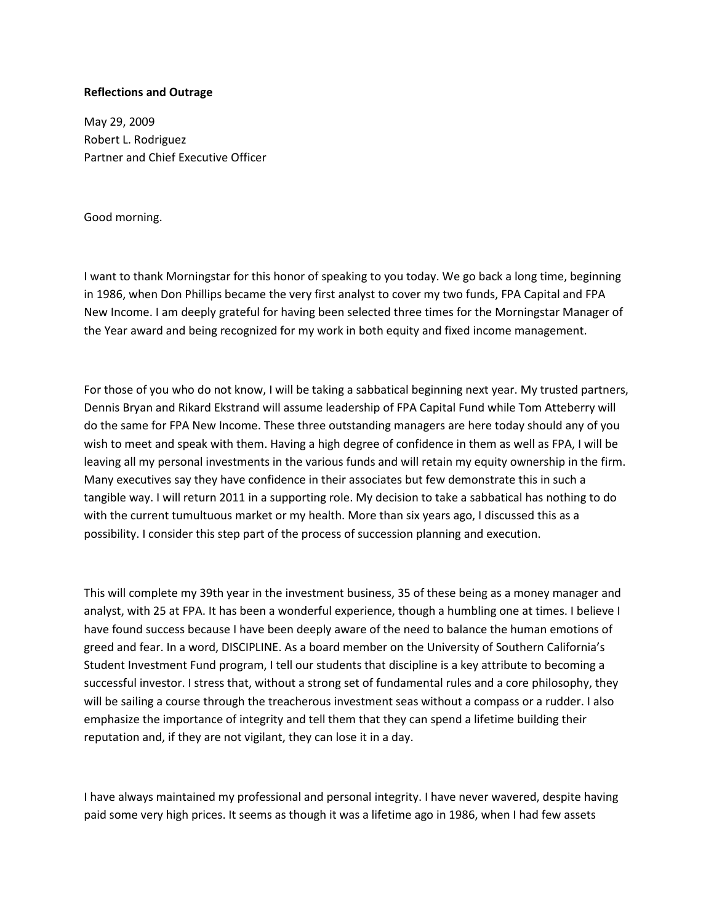## **Reflections and Outrage**

May 29, 2009 Robert L. Rodriguez Partner and Chief Executive Officer

Good morning.

I want to thank Morningstar for this honor of speaking to you today. We go back a long time, beginning in 1986, when Don Phillips became the very first analyst to cover my two funds, FPA Capital and FPA New Income. I am deeply grateful for having been selected three times for the Morningstar Manager of the Year award and being recognized for my work in both equity and fixed income management.

For those of you who do not know, I will be taking a sabbatical beginning next year. My trusted partners, Dennis Bryan and Rikard Ekstrand will assume leadership of FPA Capital Fund while Tom Atteberry will do the same for FPA New Income. These three outstanding managers are here today should any of you wish to meet and speak with them. Having a high degree of confidence in them as well as FPA, I will be leaving all my personal investments in the various funds and will retain my equity ownership in the firm. Many executives say they have confidence in their associates but few demonstrate this in such a tangible way. I will return 2011 in a supporting role. My decision to take a sabbatical has nothing to do with the current tumultuous market or my health. More than six years ago, I discussed this as a possibility. I consider this step part of the process of succession planning and execution.

This will complete my 39th year in the investment business, 35 of these being as a money manager and analyst, with 25 at FPA. It has been a wonderful experience, though a humbling one at times. I believe I have found success because I have been deeply aware of the need to balance the human emotions of greed and fear. In a word, DISCIPLINE. As a board member on the University of Southern California's Student Investment Fund program, I tell our students that discipline is a key attribute to becoming a successful investor. I stress that, without a strong set of fundamental rules and a core philosophy, they will be sailing a course through the treacherous investment seas without a compass or a rudder. I also emphasize the importance of integrity and tell them that they can spend a lifetime building their reputation and, if they are not vigilant, they can lose it in a day.

I have always maintained my professional and personal integrity. I have never wavered, despite having paid some very high prices. It seems as though it was a lifetime ago in 1986, when I had few assets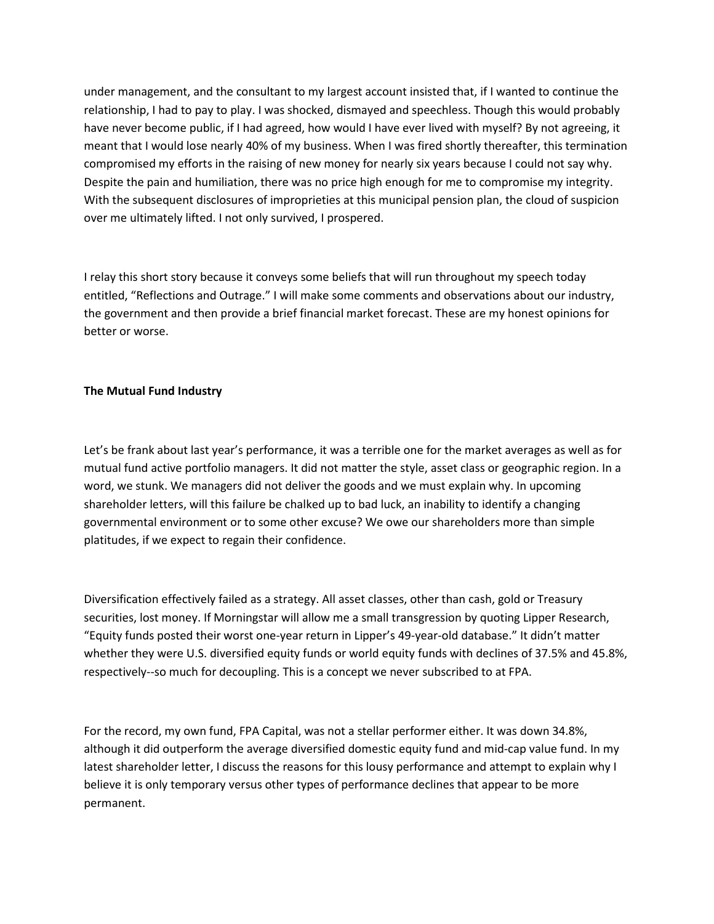under management, and the consultant to my largest account insisted that, if I wanted to continue the relationship, I had to pay to play. I was shocked, dismayed and speechless. Though this would probably have never become public, if I had agreed, how would I have ever lived with myself? By not agreeing, it meant that I would lose nearly 40% of my business. When I was fired shortly thereafter, this termination compromised my efforts in the raising of new money for nearly six years because I could not say why. Despite the pain and humiliation, there was no price high enough for me to compromise my integrity. With the subsequent disclosures of improprieties at this municipal pension plan, the cloud of suspicion over me ultimately lifted. I not only survived, I prospered.

I relay this short story because it conveys some beliefs that will run throughout my speech today entitled, "Reflections and Outrage." I will make some comments and observations about our industry, the government and then provide a brief financial market forecast. These are my honest opinions for better or worse.

# **The Mutual Fund Industry**

Let's be frank about last year's performance, it was a terrible one for the market averages as well as for mutual fund active portfolio managers. It did not matter the style, asset class or geographic region. In a word, we stunk. We managers did not deliver the goods and we must explain why. In upcoming shareholder letters, will this failure be chalked up to bad luck, an inability to identify a changing governmental environment or to some other excuse? We owe our shareholders more than simple platitudes, if we expect to regain their confidence.

Diversification effectively failed as a strategy. All asset classes, other than cash, gold or Treasury securities, lost money. If Morningstar will allow me a small transgression by quoting Lipper Research, "Equity funds posted their worst one-year return in Lipper's 49-year-old database." It didn't matter whether they were U.S. diversified equity funds or world equity funds with declines of 37.5% and 45.8%, respectively--so much for decoupling. This is a concept we never subscribed to at FPA.

For the record, my own fund, FPA Capital, was not a stellar performer either. It was down 34.8%, although it did outperform the average diversified domestic equity fund and mid-cap value fund. In my latest shareholder letter, I discuss the reasons for this lousy performance and attempt to explain why I believe it is only temporary versus other types of performance declines that appear to be more permanent.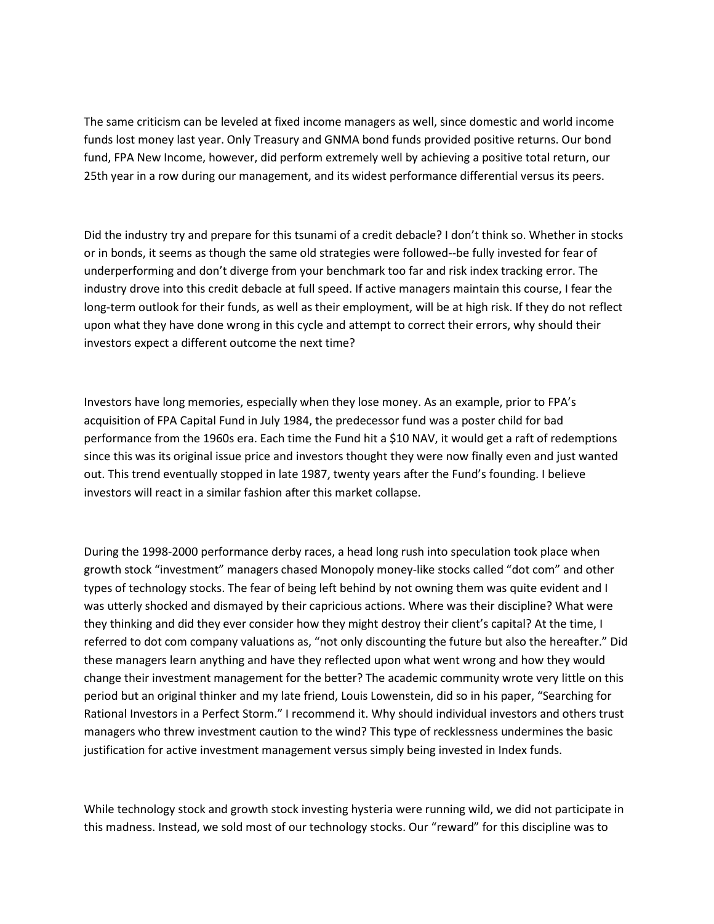The same criticism can be leveled at fixed income managers as well, since domestic and world income funds lost money last year. Only Treasury and GNMA bond funds provided positive returns. Our bond fund, FPA New Income, however, did perform extremely well by achieving a positive total return, our 25th year in a row during our management, and its widest performance differential versus its peers.

Did the industry try and prepare for this tsunami of a credit debacle? I don't think so. Whether in stocks or in bonds, it seems as though the same old strategies were followed--be fully invested for fear of underperforming and don't diverge from your benchmark too far and risk index tracking error. The industry drove into this credit debacle at full speed. If active managers maintain this course, I fear the long-term outlook for their funds, as well as their employment, will be at high risk. If they do not reflect upon what they have done wrong in this cycle and attempt to correct their errors, why should their investors expect a different outcome the next time?

Investors have long memories, especially when they lose money. As an example, prior to FPA's acquisition of FPA Capital Fund in July 1984, the predecessor fund was a poster child for bad performance from the 1960s era. Each time the Fund hit a \$10 NAV, it would get a raft of redemptions since this was its original issue price and investors thought they were now finally even and just wanted out. This trend eventually stopped in late 1987, twenty years after the Fund's founding. I believe investors will react in a similar fashion after this market collapse.

During the 1998-2000 performance derby races, a head long rush into speculation took place when growth stock "investment" managers chased Monopoly money-like stocks called "dot com" and other types of technology stocks. The fear of being left behind by not owning them was quite evident and I was utterly shocked and dismayed by their capricious actions. Where was their discipline? What were they thinking and did they ever consider how they might destroy their client's capital? At the time, I referred to dot com company valuations as, "not only discounting the future but also the hereafter." Did these managers learn anything and have they reflected upon what went wrong and how they would change their investment management for the better? The academic community wrote very little on this period but an original thinker and my late friend, Louis Lowenstein, did so in his paper, "Searching for Rational Investors in a Perfect Storm." I recommend it. Why should individual investors and others trust managers who threw investment caution to the wind? This type of recklessness undermines the basic justification for active investment management versus simply being invested in Index funds.

While technology stock and growth stock investing hysteria were running wild, we did not participate in this madness. Instead, we sold most of our technology stocks. Our "reward" for this discipline was to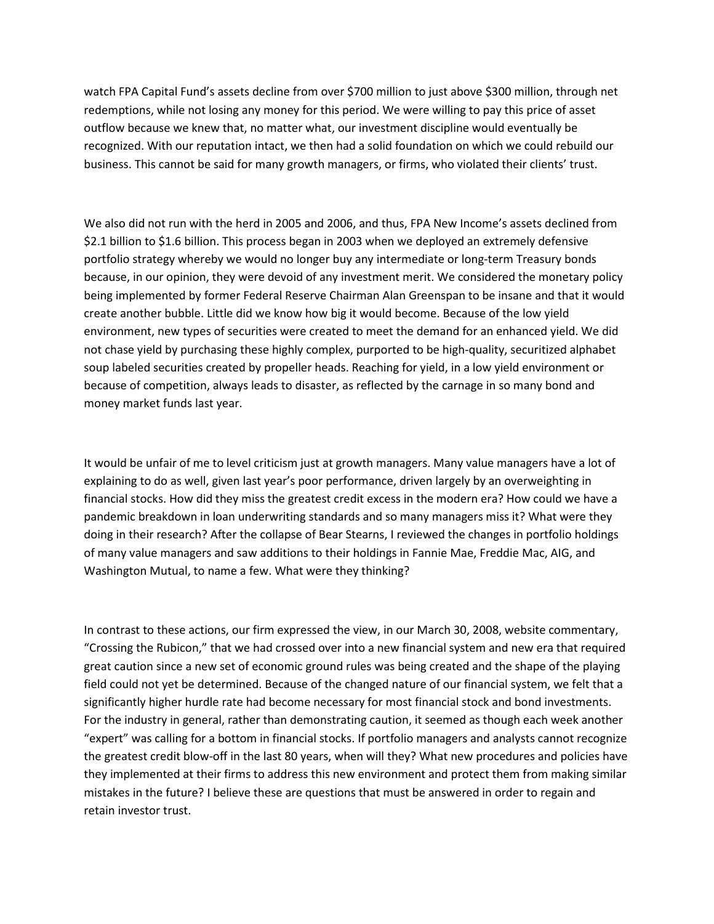watch FPA Capital Fund's assets decline from over \$700 million to just above \$300 million, through net redemptions, while not losing any money for this period. We were willing to pay this price of asset outflow because we knew that, no matter what, our investment discipline would eventually be recognized. With our reputation intact, we then had a solid foundation on which we could rebuild our business. This cannot be said for many growth managers, or firms, who violated their clients' trust.

We also did not run with the herd in 2005 and 2006, and thus, FPA New Income's assets declined from \$2.1 billion to \$1.6 billion. This process began in 2003 when we deployed an extremely defensive portfolio strategy whereby we would no longer buy any intermediate or long-term Treasury bonds because, in our opinion, they were devoid of any investment merit. We considered the monetary policy being implemented by former Federal Reserve Chairman Alan Greenspan to be insane and that it would create another bubble. Little did we know how big it would become. Because of the low yield environment, new types of securities were created to meet the demand for an enhanced yield. We did not chase yield by purchasing these highly complex, purported to be high-quality, securitized alphabet soup labeled securities created by propeller heads. Reaching for yield, in a low yield environment or because of competition, always leads to disaster, as reflected by the carnage in so many bond and money market funds last year.

It would be unfair of me to level criticism just at growth managers. Many value managers have a lot of explaining to do as well, given last year's poor performance, driven largely by an overweighting in financial stocks. How did they miss the greatest credit excess in the modern era? How could we have a pandemic breakdown in loan underwriting standards and so many managers miss it? What were they doing in their research? After the collapse of Bear Stearns, I reviewed the changes in portfolio holdings of many value managers and saw additions to their holdings in Fannie Mae, Freddie Mac, AIG, and Washington Mutual, to name a few. What were they thinking?

In contrast to these actions, our firm expressed the view, in our March 30, 2008, website commentary, "Crossing the Rubicon," that we had crossed over into a new financial system and new era that required great caution since a new set of economic ground rules was being created and the shape of the playing field could not yet be determined. Because of the changed nature of our financial system, we felt that a significantly higher hurdle rate had become necessary for most financial stock and bond investments. For the industry in general, rather than demonstrating caution, it seemed as though each week another "expert" was calling for a bottom in financial stocks. If portfolio managers and analysts cannot recognize the greatest credit blow-off in the last 80 years, when will they? What new procedures and policies have they implemented at their firms to address this new environment and protect them from making similar mistakes in the future? I believe these are questions that must be answered in order to regain and retain investor trust.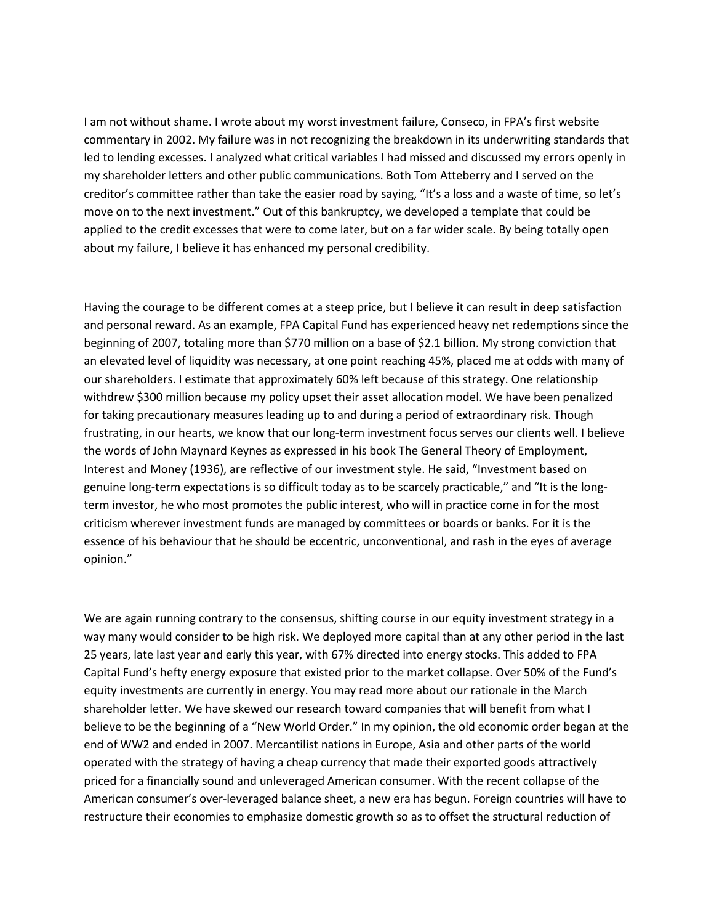I am not without shame. I wrote about my worst investment failure, Conseco, in FPA's first website commentary in 2002. My failure was in not recognizing the breakdown in its underwriting standards that led to lending excesses. I analyzed what critical variables I had missed and discussed my errors openly in my shareholder letters and other public communications. Both Tom Atteberry and I served on the creditor's committee rather than take the easier road by saying, "It's a loss and a waste of time, so let's move on to the next investment." Out of this bankruptcy, we developed a template that could be applied to the credit excesses that were to come later, but on a far wider scale. By being totally open about my failure, I believe it has enhanced my personal credibility.

Having the courage to be different comes at a steep price, but I believe it can result in deep satisfaction and personal reward. As an example, FPA Capital Fund has experienced heavy net redemptions since the beginning of 2007, totaling more than \$770 million on a base of \$2.1 billion. My strong conviction that an elevated level of liquidity was necessary, at one point reaching 45%, placed me at odds with many of our shareholders. I estimate that approximately 60% left because of this strategy. One relationship withdrew \$300 million because my policy upset their asset allocation model. We have been penalized for taking precautionary measures leading up to and during a period of extraordinary risk. Though frustrating, in our hearts, we know that our long-term investment focus serves our clients well. I believe the words of John Maynard Keynes as expressed in his book The General Theory of Employment, Interest and Money (1936), are reflective of our investment style. He said, "Investment based on genuine long-term expectations is so difficult today as to be scarcely practicable," and "It is the longterm investor, he who most promotes the public interest, who will in practice come in for the most criticism wherever investment funds are managed by committees or boards or banks. For it is the essence of his behaviour that he should be eccentric, unconventional, and rash in the eyes of average opinion."

We are again running contrary to the consensus, shifting course in our equity investment strategy in a way many would consider to be high risk. We deployed more capital than at any other period in the last 25 years, late last year and early this year, with 67% directed into energy stocks. This added to FPA Capital Fund's hefty energy exposure that existed prior to the market collapse. Over 50% of the Fund's equity investments are currently in energy. You may read more about our rationale in the March shareholder letter. We have skewed our research toward companies that will benefit from what I believe to be the beginning of a "New World Order." In my opinion, the old economic order began at the end of WW2 and ended in 2007. Mercantilist nations in Europe, Asia and other parts of the world operated with the strategy of having a cheap currency that made their exported goods attractively priced for a financially sound and unleveraged American consumer. With the recent collapse of the American consumer's over-leveraged balance sheet, a new era has begun. Foreign countries will have to restructure their economies to emphasize domestic growth so as to offset the structural reduction of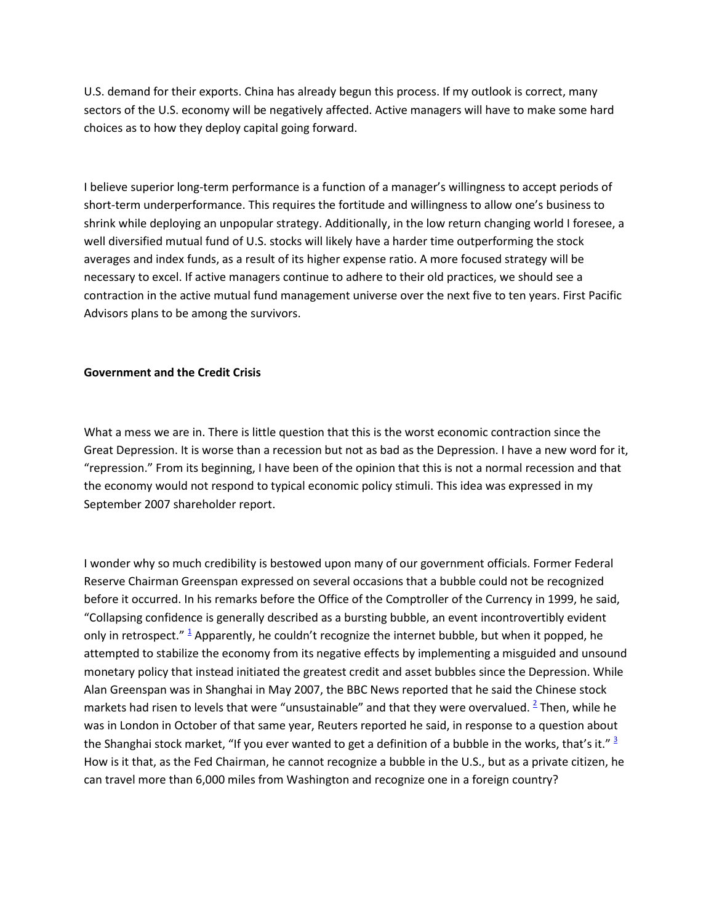U.S. demand for their exports. China has already begun this process. If my outlook is correct, many sectors of the U.S. economy will be negatively affected. Active managers will have to make some hard choices as to how they deploy capital going forward.

I believe superior long-term performance is a function of a manager's willingness to accept periods of short-term underperformance. This requires the fortitude and willingness to allow one's business to shrink while deploying an unpopular strategy. Additionally, in the low return changing world I foresee, a well diversified mutual fund of U.S. stocks will likely have a harder time outperforming the stock averages and index funds, as a result of its higher expense ratio. A more focused strategy will be necessary to excel. If active managers continue to adhere to their old practices, we should see a contraction in the active mutual fund management universe over the next five to ten years. First Pacific Advisors plans to be among the survivors.

## **Government and the Credit Crisis**

What a mess we are in. There is little question that this is the worst economic contraction since the Great Depression. It is worse than a recession but not as bad as the Depression. I have a new word for it, "repression." From its beginning, I have been of the opinion that this is not a normal recession and that the economy would not respond to typical economic policy stimuli. This idea was expressed in my September 2007 shareholder report.

I wonder why so much credibility is bestowed upon many of our government officials. Former Federal Reserve Chairman Greenspan expressed on several occasions that a bubble could not be recognized before it occurred. In his remarks before the Office of the Comptroller of the Currency in 1999, he said, "Collapsing confidence is generally described as a bursting bubble, an event incontrovertibly evident only in retrospect.["](http://www.fpafunds.com/news_05292009_outrage_print.htm#ftn.1)  $\frac{1}{2}$  Apparently, he couldn't recognize the internet bubble, but when it popped, he attempted to stabilize the economy from its negative effects by implementing a misguided and unsound monetary policy that instead initiated the greatest credit and asset bubbles since the Depression. While Alan Greenspan was in Shanghai in May 2007, the BBC News reported that he said the Chinese stock markets had risen to levels that were "unsustainable" and that they were overvalued.  $\frac{2}{3}$  $\frac{2}{3}$  $\frac{2}{3}$  Then, while he was in London in October of that same year, Reuters reported he said, in response to a question about theShanghai stock market, "If you ever wanted to get a definition of a bubble in the works, that's it."  $\frac{3}{2}$ How is it that, as the Fed Chairman, he cannot recognize a bubble in the U.S., but as a private citizen, he can travel more than 6,000 miles from Washington and recognize one in a foreign country?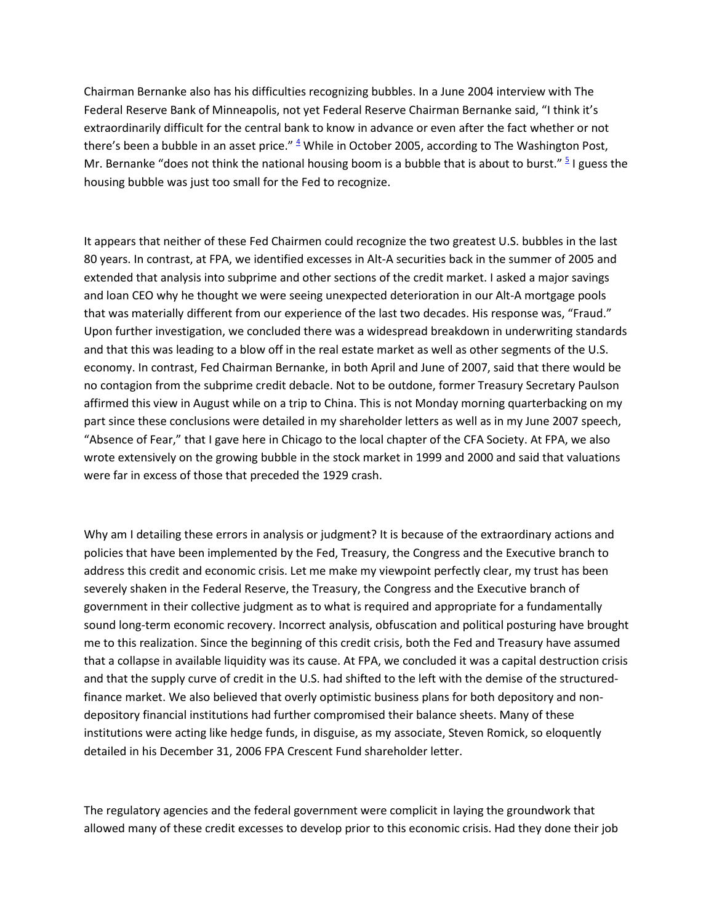Chairman Bernanke also has his difficulties recognizing bubbles. In a June 2004 interview with The Federal Reserve Bank of Minneapolis, not yet Federal Reserve Chairman Bernanke said, "I think it's extraordinarily difficult for the central bank to know in advance or even after the fact whether or not there's been a bubble in an asset price."  $4$  While in October 2005, according to The Washington Post, Mr. Bernanke "does not think the national housing boom is a bubble that is about to burst." <sup>[5](http://www.fpafunds.com/news_05292009_outrage_print.htm#ftn.5)</sup> I guess the housing bubble was just too small for the Fed to recognize.

It appears that neither of these Fed Chairmen could recognize the two greatest U.S. bubbles in the last 80 years. In contrast, at FPA, we identified excesses in Alt-A securities back in the summer of 2005 and extended that analysis into subprime and other sections of the credit market. I asked a major savings and loan CEO why he thought we were seeing unexpected deterioration in our Alt-A mortgage pools that was materially different from our experience of the last two decades. His response was, "Fraud." Upon further investigation, we concluded there was a widespread breakdown in underwriting standards and that this was leading to a blow off in the real estate market as well as other segments of the U.S. economy. In contrast, Fed Chairman Bernanke, in both April and June of 2007, said that there would be no contagion from the subprime credit debacle. Not to be outdone, former Treasury Secretary Paulson affirmed this view in August while on a trip to China. This is not Monday morning quarterbacking on my part since these conclusions were detailed in my shareholder letters as well as in my June 2007 speech, "Absence of Fear," that I gave here in Chicago to the local chapter of the CFA Society. At FPA, we also wrote extensively on the growing bubble in the stock market in 1999 and 2000 and said that valuations were far in excess of those that preceded the 1929 crash.

Why am I detailing these errors in analysis or judgment? It is because of the extraordinary actions and policies that have been implemented by the Fed, Treasury, the Congress and the Executive branch to address this credit and economic crisis. Let me make my viewpoint perfectly clear, my trust has been severely shaken in the Federal Reserve, the Treasury, the Congress and the Executive branch of government in their collective judgment as to what is required and appropriate for a fundamentally sound long-term economic recovery. Incorrect analysis, obfuscation and political posturing have brought me to this realization. Since the beginning of this credit crisis, both the Fed and Treasury have assumed that a collapse in available liquidity was its cause. At FPA, we concluded it was a capital destruction crisis and that the supply curve of credit in the U.S. had shifted to the left with the demise of the structuredfinance market. We also believed that overly optimistic business plans for both depository and nondepository financial institutions had further compromised their balance sheets. Many of these institutions were acting like hedge funds, in disguise, as my associate, Steven Romick, so eloquently detailed in his December 31, 2006 FPA Crescent Fund shareholder letter.

The regulatory agencies and the federal government were complicit in laying the groundwork that allowed many of these credit excesses to develop prior to this economic crisis. Had they done their job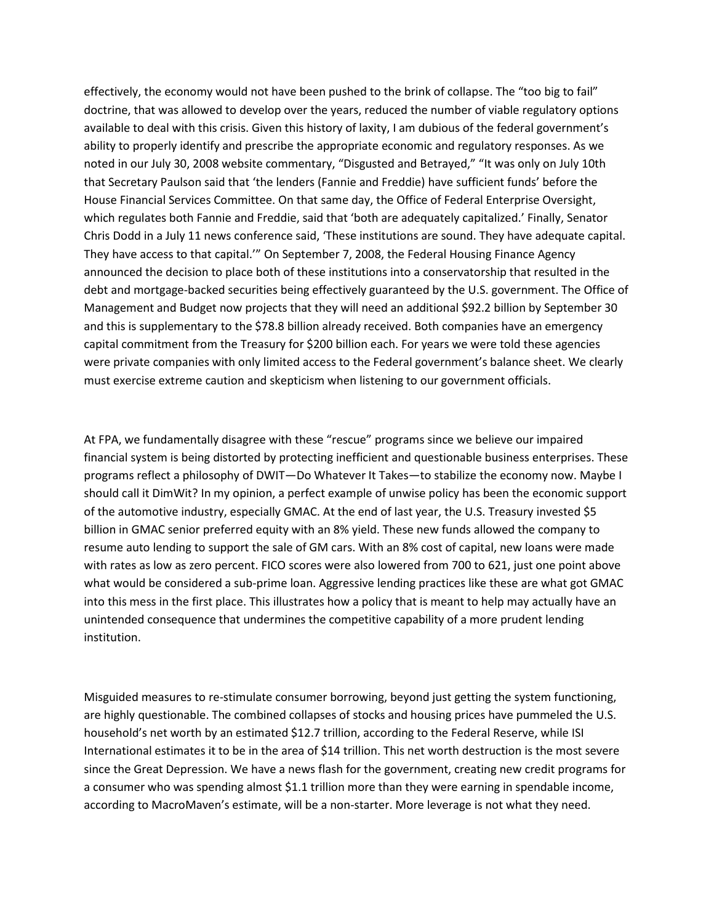effectively, the economy would not have been pushed to the brink of collapse. The "too big to fail" doctrine, that was allowed to develop over the years, reduced the number of viable regulatory options available to deal with this crisis. Given this history of laxity, I am dubious of the federal government's ability to properly identify and prescribe the appropriate economic and regulatory responses. As we noted in our July 30, 2008 website commentary, "Disgusted and Betrayed," "It was only on July 10th that Secretary Paulson said that 'the lenders (Fannie and Freddie) have sufficient funds' before the House Financial Services Committee. On that same day, the Office of Federal Enterprise Oversight, which regulates both Fannie and Freddie, said that 'both are adequately capitalized.' Finally, Senator Chris Dodd in a July 11 news conference said, 'These institutions are sound. They have adequate capital. They have access to that capital.'" On September 7, 2008, the Federal Housing Finance Agency announced the decision to place both of these institutions into a conservatorship that resulted in the debt and mortgage-backed securities being effectively guaranteed by the U.S. government. The Office of Management and Budget now projects that they will need an additional \$92.2 billion by September 30 and this is supplementary to the \$78.8 billion already received. Both companies have an emergency capital commitment from the Treasury for \$200 billion each. For years we were told these agencies were private companies with only limited access to the Federal government's balance sheet. We clearly must exercise extreme caution and skepticism when listening to our government officials.

At FPA, we fundamentally disagree with these "rescue" programs since we believe our impaired financial system is being distorted by protecting inefficient and questionable business enterprises. These programs reflect a philosophy of DWIT—Do Whatever It Takes—to stabilize the economy now. Maybe I should call it DimWit? In my opinion, a perfect example of unwise policy has been the economic support of the automotive industry, especially GMAC. At the end of last year, the U.S. Treasury invested \$5 billion in GMAC senior preferred equity with an 8% yield. These new funds allowed the company to resume auto lending to support the sale of GM cars. With an 8% cost of capital, new loans were made with rates as low as zero percent. FICO scores were also lowered from 700 to 621, just one point above what would be considered a sub-prime loan. Aggressive lending practices like these are what got GMAC into this mess in the first place. This illustrates how a policy that is meant to help may actually have an unintended consequence that undermines the competitive capability of a more prudent lending institution.

Misguided measures to re-stimulate consumer borrowing, beyond just getting the system functioning, are highly questionable. The combined collapses of stocks and housing prices have pummeled the U.S. household's net worth by an estimated \$12.7 trillion, according to the Federal Reserve, while ISI International estimates it to be in the area of \$14 trillion. This net worth destruction is the most severe since the Great Depression. We have a news flash for the government, creating new credit programs for a consumer who was spending almost \$1.1 trillion more than they were earning in spendable income, according to MacroMaven's estimate, will be a non-starter. More leverage is not what they need.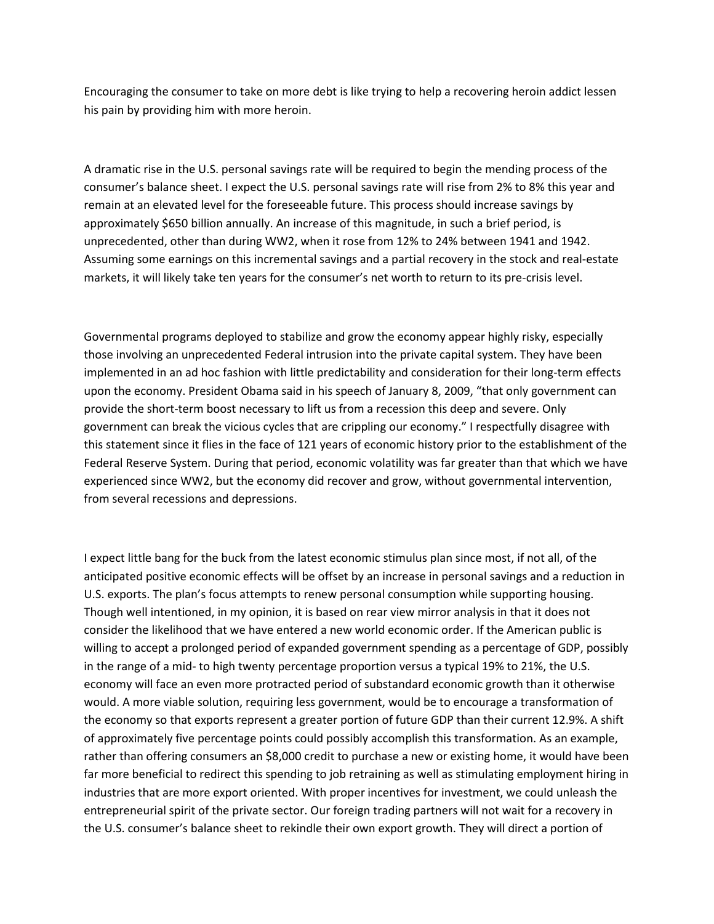Encouraging the consumer to take on more debt is like trying to help a recovering heroin addict lessen his pain by providing him with more heroin.

A dramatic rise in the U.S. personal savings rate will be required to begin the mending process of the consumer's balance sheet. I expect the U.S. personal savings rate will rise from 2% to 8% this year and remain at an elevated level for the foreseeable future. This process should increase savings by approximately \$650 billion annually. An increase of this magnitude, in such a brief period, is unprecedented, other than during WW2, when it rose from 12% to 24% between 1941 and 1942. Assuming some earnings on this incremental savings and a partial recovery in the stock and real-estate markets, it will likely take ten years for the consumer's net worth to return to its pre-crisis level.

Governmental programs deployed to stabilize and grow the economy appear highly risky, especially those involving an unprecedented Federal intrusion into the private capital system. They have been implemented in an ad hoc fashion with little predictability and consideration for their long-term effects upon the economy. President Obama said in his speech of January 8, 2009, "that only government can provide the short-term boost necessary to lift us from a recession this deep and severe. Only government can break the vicious cycles that are crippling our economy." I respectfully disagree with this statement since it flies in the face of 121 years of economic history prior to the establishment of the Federal Reserve System. During that period, economic volatility was far greater than that which we have experienced since WW2, but the economy did recover and grow, without governmental intervention, from several recessions and depressions.

I expect little bang for the buck from the latest economic stimulus plan since most, if not all, of the anticipated positive economic effects will be offset by an increase in personal savings and a reduction in U.S. exports. The plan's focus attempts to renew personal consumption while supporting housing. Though well intentioned, in my opinion, it is based on rear view mirror analysis in that it does not consider the likelihood that we have entered a new world economic order. If the American public is willing to accept a prolonged period of expanded government spending as a percentage of GDP, possibly in the range of a mid- to high twenty percentage proportion versus a typical 19% to 21%, the U.S. economy will face an even more protracted period of substandard economic growth than it otherwise would. A more viable solution, requiring less government, would be to encourage a transformation of the economy so that exports represent a greater portion of future GDP than their current 12.9%. A shift of approximately five percentage points could possibly accomplish this transformation. As an example, rather than offering consumers an \$8,000 credit to purchase a new or existing home, it would have been far more beneficial to redirect this spending to job retraining as well as stimulating employment hiring in industries that are more export oriented. With proper incentives for investment, we could unleash the entrepreneurial spirit of the private sector. Our foreign trading partners will not wait for a recovery in the U.S. consumer's balance sheet to rekindle their own export growth. They will direct a portion of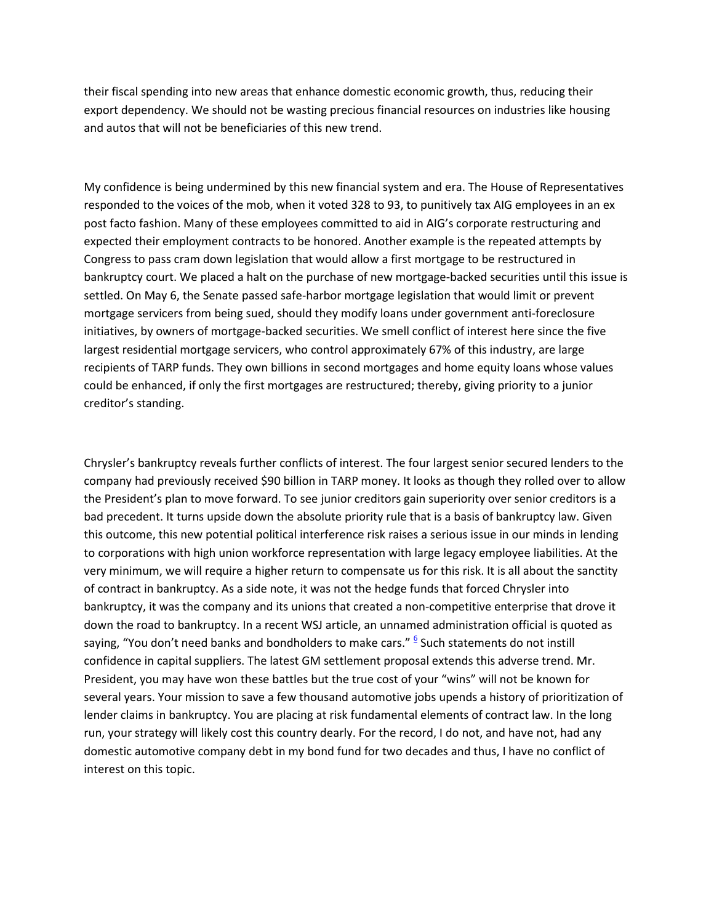their fiscal spending into new areas that enhance domestic economic growth, thus, reducing their export dependency. We should not be wasting precious financial resources on industries like housing and autos that will not be beneficiaries of this new trend.

My confidence is being undermined by this new financial system and era. The House of Representatives responded to the voices of the mob, when it voted 328 to 93, to punitively tax AIG employees in an ex post facto fashion. Many of these employees committed to aid in AIG's corporate restructuring and expected their employment contracts to be honored. Another example is the repeated attempts by Congress to pass cram down legislation that would allow a first mortgage to be restructured in bankruptcy court. We placed a halt on the purchase of new mortgage-backed securities until this issue is settled. On May 6, the Senate passed safe-harbor mortgage legislation that would limit or prevent mortgage servicers from being sued, should they modify loans under government anti-foreclosure initiatives, by owners of mortgage-backed securities. We smell conflict of interest here since the five largest residential mortgage servicers, who control approximately 67% of this industry, are large recipients of TARP funds. They own billions in second mortgages and home equity loans whose values could be enhanced, if only the first mortgages are restructured; thereby, giving priority to a junior creditor's standing.

Chrysler's bankruptcy reveals further conflicts of interest. The four largest senior secured lenders to the company had previously received \$90 billion in TARP money. It looks as though they rolled over to allow the President's plan to move forward. To see junior creditors gain superiority over senior creditors is a bad precedent. It turns upside down the absolute priority rule that is a basis of bankruptcy law. Given this outcome, this new potential political interference risk raises a serious issue in our minds in lending to corporations with high union workforce representation with large legacy employee liabilities. At the very minimum, we will require a higher return to compensate us for this risk. It is all about the sanctity of contract in bankruptcy. As a side note, it was not the hedge funds that forced Chrysler into bankruptcy, it was the company and its unions that created a non-competitive enterprise that drove it down the road to bankruptcy. In a recent WSJ article, an unnamed administration official is quoted as saying, "You don't need banks and bondholders to make cars.["](http://www.fpafunds.com/news_05292009_outrage_print.htm#ftn.6) <sup>6</sup> Such statements do not instill confidence in capital suppliers. The latest GM settlement proposal extends this adverse trend. Mr. President, you may have won these battles but the true cost of your "wins" will not be known for several years. Your mission to save a few thousand automotive jobs upends a history of prioritization of lender claims in bankruptcy. You are placing at risk fundamental elements of contract law. In the long run, your strategy will likely cost this country dearly. For the record, I do not, and have not, had any domestic automotive company debt in my bond fund for two decades and thus, I have no conflict of interest on this topic.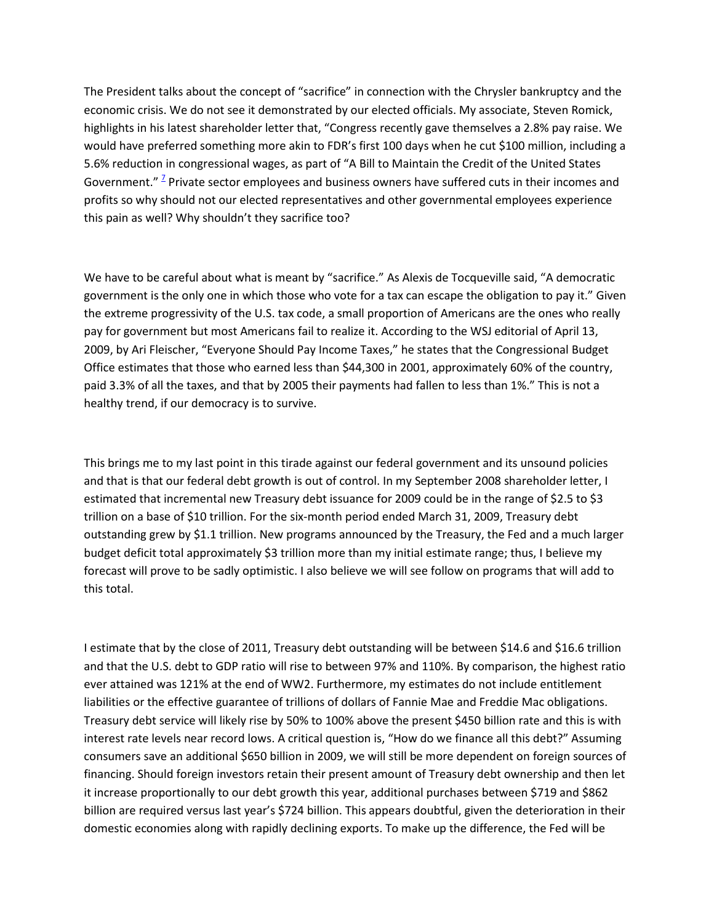The President talks about the concept of "sacrifice" in connection with the Chrysler bankruptcy and the economic crisis. We do not see it demonstrated by our elected officials. My associate, Steven Romick, highlights in his latest shareholder letter that, "Congress recently gave themselves a 2.8% pay raise. We would have preferred something more akin to FDR's first 100 days when he cut \$100 million, including a 5.6% reduction in congressional wages, as part of "A Bill to Maintain the Credit of the United States Government.["](http://www.fpafunds.com/news_05292009_outrage_print.htm#ftn.7) <sup>2</sup> Private sector employees and business owners have suffered cuts in their incomes and profits so why should not our elected representatives and other governmental employees experience this pain as well? Why shouldn't they sacrifice too?

We have to be careful about what is meant by "sacrifice." As Alexis de Tocqueville said, "A democratic government is the only one in which those who vote for a tax can escape the obligation to pay it." Given the extreme progressivity of the U.S. tax code, a small proportion of Americans are the ones who really pay for government but most Americans fail to realize it. According to the WSJ editorial of April 13, 2009, by Ari Fleischer, "Everyone Should Pay Income Taxes," he states that the Congressional Budget Office estimates that those who earned less than \$44,300 in 2001, approximately 60% of the country, paid 3.3% of all the taxes, and that by 2005 their payments had fallen to less than 1%." This is not a healthy trend, if our democracy is to survive.

This brings me to my last point in this tirade against our federal government and its unsound policies and that is that our federal debt growth is out of control. In my September 2008 shareholder letter, I estimated that incremental new Treasury debt issuance for 2009 could be in the range of \$2.5 to \$3 trillion on a base of \$10 trillion. For the six-month period ended March 31, 2009, Treasury debt outstanding grew by \$1.1 trillion. New programs announced by the Treasury, the Fed and a much larger budget deficit total approximately \$3 trillion more than my initial estimate range; thus, I believe my forecast will prove to be sadly optimistic. I also believe we will see follow on programs that will add to this total.

I estimate that by the close of 2011, Treasury debt outstanding will be between \$14.6 and \$16.6 trillion and that the U.S. debt to GDP ratio will rise to between 97% and 110%. By comparison, the highest ratio ever attained was 121% at the end of WW2. Furthermore, my estimates do not include entitlement liabilities or the effective guarantee of trillions of dollars of Fannie Mae and Freddie Mac obligations. Treasury debt service will likely rise by 50% to 100% above the present \$450 billion rate and this is with interest rate levels near record lows. A critical question is, "How do we finance all this debt?" Assuming consumers save an additional \$650 billion in 2009, we will still be more dependent on foreign sources of financing. Should foreign investors retain their present amount of Treasury debt ownership and then let it increase proportionally to our debt growth this year, additional purchases between \$719 and \$862 billion are required versus last year's \$724 billion. This appears doubtful, given the deterioration in their domestic economies along with rapidly declining exports. To make up the difference, the Fed will be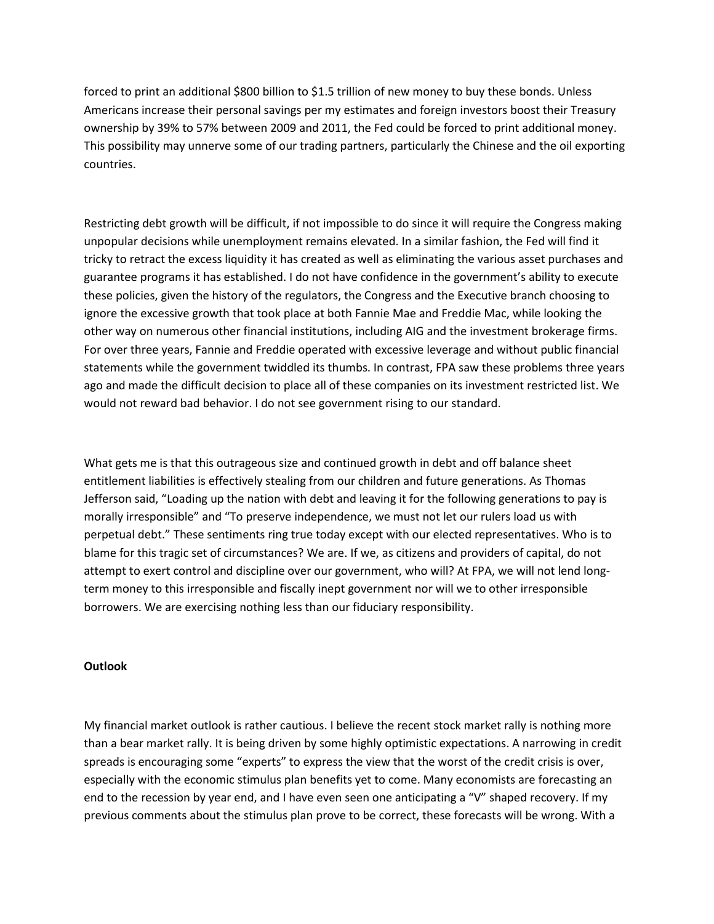forced to print an additional \$800 billion to \$1.5 trillion of new money to buy these bonds. Unless Americans increase their personal savings per my estimates and foreign investors boost their Treasury ownership by 39% to 57% between 2009 and 2011, the Fed could be forced to print additional money. This possibility may unnerve some of our trading partners, particularly the Chinese and the oil exporting countries.

Restricting debt growth will be difficult, if not impossible to do since it will require the Congress making unpopular decisions while unemployment remains elevated. In a similar fashion, the Fed will find it tricky to retract the excess liquidity it has created as well as eliminating the various asset purchases and guarantee programs it has established. I do not have confidence in the government's ability to execute these policies, given the history of the regulators, the Congress and the Executive branch choosing to ignore the excessive growth that took place at both Fannie Mae and Freddie Mac, while looking the other way on numerous other financial institutions, including AIG and the investment brokerage firms. For over three years, Fannie and Freddie operated with excessive leverage and without public financial statements while the government twiddled its thumbs. In contrast, FPA saw these problems three years ago and made the difficult decision to place all of these companies on its investment restricted list. We would not reward bad behavior. I do not see government rising to our standard.

What gets me is that this outrageous size and continued growth in debt and off balance sheet entitlement liabilities is effectively stealing from our children and future generations. As Thomas Jefferson said, "Loading up the nation with debt and leaving it for the following generations to pay is morally irresponsible" and "To preserve independence, we must not let our rulers load us with perpetual debt." These sentiments ring true today except with our elected representatives. Who is to blame for this tragic set of circumstances? We are. If we, as citizens and providers of capital, do not attempt to exert control and discipline over our government, who will? At FPA, we will not lend longterm money to this irresponsible and fiscally inept government nor will we to other irresponsible borrowers. We are exercising nothing less than our fiduciary responsibility.

## **Outlook**

My financial market outlook is rather cautious. I believe the recent stock market rally is nothing more than a bear market rally. It is being driven by some highly optimistic expectations. A narrowing in credit spreads is encouraging some "experts" to express the view that the worst of the credit crisis is over, especially with the economic stimulus plan benefits yet to come. Many economists are forecasting an end to the recession by year end, and I have even seen one anticipating a "V" shaped recovery. If my previous comments about the stimulus plan prove to be correct, these forecasts will be wrong. With a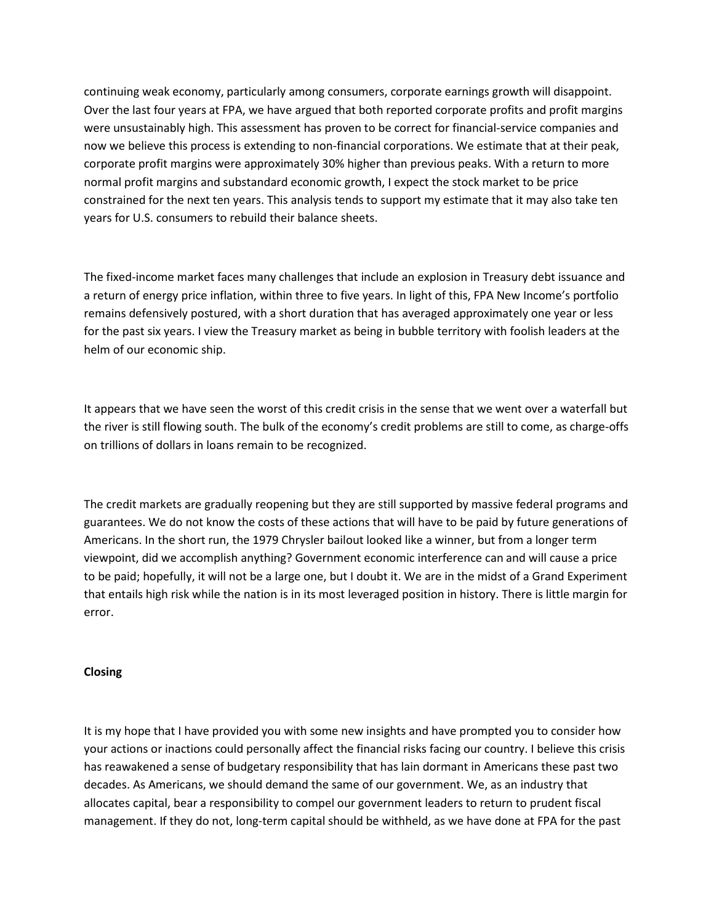continuing weak economy, particularly among consumers, corporate earnings growth will disappoint. Over the last four years at FPA, we have argued that both reported corporate profits and profit margins were unsustainably high. This assessment has proven to be correct for financial-service companies and now we believe this process is extending to non-financial corporations. We estimate that at their peak, corporate profit margins were approximately 30% higher than previous peaks. With a return to more normal profit margins and substandard economic growth, I expect the stock market to be price constrained for the next ten years. This analysis tends to support my estimate that it may also take ten years for U.S. consumers to rebuild their balance sheets.

The fixed-income market faces many challenges that include an explosion in Treasury debt issuance and a return of energy price inflation, within three to five years. In light of this, FPA New Income's portfolio remains defensively postured, with a short duration that has averaged approximately one year or less for the past six years. I view the Treasury market as being in bubble territory with foolish leaders at the helm of our economic ship.

It appears that we have seen the worst of this credit crisis in the sense that we went over a waterfall but the river is still flowing south. The bulk of the economy's credit problems are still to come, as charge-offs on trillions of dollars in loans remain to be recognized.

The credit markets are gradually reopening but they are still supported by massive federal programs and guarantees. We do not know the costs of these actions that will have to be paid by future generations of Americans. In the short run, the 1979 Chrysler bailout looked like a winner, but from a longer term viewpoint, did we accomplish anything? Government economic interference can and will cause a price to be paid; hopefully, it will not be a large one, but I doubt it. We are in the midst of a Grand Experiment that entails high risk while the nation is in its most leveraged position in history. There is little margin for error.

# **Closing**

It is my hope that I have provided you with some new insights and have prompted you to consider how your actions or inactions could personally affect the financial risks facing our country. I believe this crisis has reawakened a sense of budgetary responsibility that has lain dormant in Americans these past two decades. As Americans, we should demand the same of our government. We, as an industry that allocates capital, bear a responsibility to compel our government leaders to return to prudent fiscal management. If they do not, long-term capital should be withheld, as we have done at FPA for the past